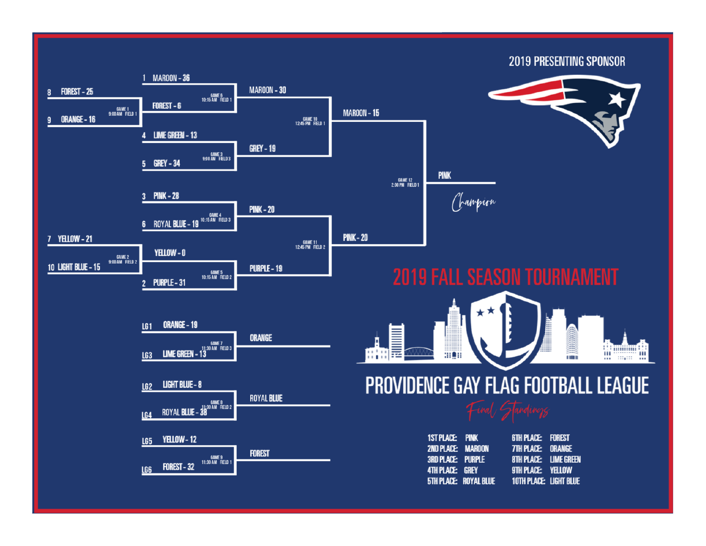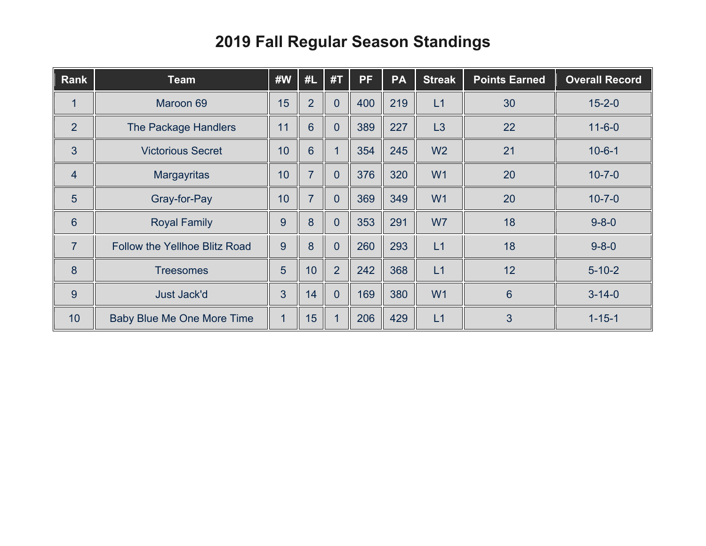## **Fall Regular Season Standings**

| <b>Rank</b>     | <b>Team</b>                          | #W | #L             | #1             | <b>PF</b> | <b>PA</b> | <b>Streak</b>  | <b>Points Earned</b> | <b>Overall Record</b> |
|-----------------|--------------------------------------|----|----------------|----------------|-----------|-----------|----------------|----------------------|-----------------------|
| 1               | Maroon 69                            | 15 | $\overline{2}$ | $\overline{0}$ | 400       | 219       | L1             | 30                   | $15 - 2 - 0$          |
| $\overline{2}$  | The Package Handlers                 | 11 | $6\phantom{1}$ | $\overline{0}$ | 389       | 227       | L3             | 22                   | $11 - 6 - 0$          |
| 3               | <b>Victorious Secret</b>             | 10 | 6              |                | 354       | 245       | W <sub>2</sub> | 21                   | $10 - 6 - 1$          |
| $\overline{4}$  | Margayritas                          | 10 | $\overline{7}$ | $\overline{0}$ | 376       | 320       | W <sub>1</sub> | 20                   | $10 - 7 - 0$          |
| 5               | Gray-for-Pay                         | 10 | $\overline{7}$ | $\overline{0}$ | 369       | 349       | W <sub>1</sub> | 20                   | $10 - 7 - 0$          |
| $6\phantom{1}6$ | <b>Royal Family</b>                  | 9  | 8              | $\overline{0}$ | 353       | 291       | W7             | 18                   | $9 - 8 - 0$           |
| $\overline{7}$  | <b>Follow the Yellhoe Blitz Road</b> | 9  | 8              | $\overline{0}$ | 260       | 293       | L1             | 18                   | $9 - 8 - 0$           |
| 8               | <b>Treesomes</b>                     | 5  | 10             | $\overline{2}$ | 242       | 368       | L1             | 12                   | $5 - 10 - 2$          |
| 9               | <b>Just Jack'd</b>                   | 3  | 14             | $\overline{0}$ | 169       | 380       | W <sub>1</sub> | 6                    | $3 - 14 - 0$          |
| 10              | Baby Blue Me One More Time           |    | 15             |                | 206       | 429       | L1             | 3                    | $1 - 15 - 1$          |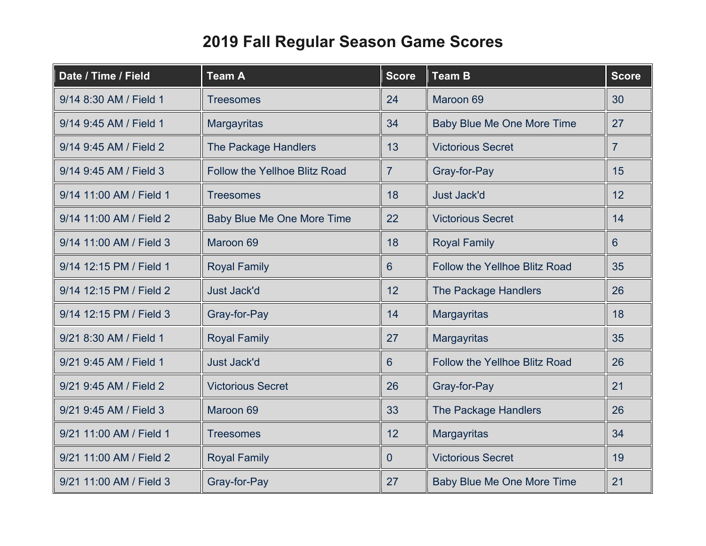## **2019 Fall Regular Season Game Scores**

| Date / Time / Field     | <b>Team A</b>                        | <b>Score</b>   | <b>Team B</b>                        | <b>Score</b>   |
|-------------------------|--------------------------------------|----------------|--------------------------------------|----------------|
| 9/14 8:30 AM / Field 1  | <b>Treesomes</b>                     | 24             | Maroon 69                            | 30             |
| 9/14 9:45 AM / Field 1  | <b>Margayritas</b>                   | 34             | Baby Blue Me One More Time           | 27             |
| 9/14 9:45 AM / Field 2  | <b>The Package Handlers</b>          | 13             | <b>Victorious Secret</b>             | $\overline{7}$ |
| 9/14 9:45 AM / Field 3  | <b>Follow the Yellhoe Blitz Road</b> | $\overline{7}$ | Gray-for-Pay                         | 15             |
| 9/14 11:00 AM / Field 1 | <b>Treesomes</b>                     | 18             | <b>Just Jack'd</b>                   | 12             |
| 9/14 11:00 AM / Field 2 | <b>Baby Blue Me One More Time</b>    | 22             | <b>Victorious Secret</b>             | 14             |
| 9/14 11:00 AM / Field 3 | Maroon 69                            | 18             | <b>Royal Family</b>                  | 6              |
| 9/14 12:15 PM / Field 1 | <b>Royal Family</b>                  | 6              | <b>Follow the Yellhoe Blitz Road</b> | 35             |
| 9/14 12:15 PM / Field 2 | <b>Just Jack'd</b>                   | 12             | <b>The Package Handlers</b>          | 26             |
| 9/14 12:15 PM / Field 3 | Gray-for-Pay                         | 14             | <b>Margayritas</b>                   | 18             |
| 9/21 8:30 AM / Field 1  | <b>Royal Family</b>                  | 27             | <b>Margayritas</b>                   | 35             |
| 9/21 9:45 AM / Field 1  | <b>Just Jack'd</b>                   | 6              | <b>Follow the Yellhoe Blitz Road</b> | 26             |
| 9/21 9:45 AM / Field 2  | <b>Victorious Secret</b>             | 26             | Gray-for-Pay                         | 21             |
| 9/21 9:45 AM / Field 3  | Maroon 69                            | 33             | The Package Handlers                 | 26             |
| 9/21 11:00 AM / Field 1 | <b>Treesomes</b>                     | 12             | <b>Margayritas</b>                   | 34             |
| 9/21 11:00 AM / Field 2 | <b>Royal Family</b>                  | 0              | <b>Victorious Secret</b>             | 19             |
| 9/21 11:00 AM / Field 3 | Gray-for-Pay                         | 27             | <b>Baby Blue Me One More Time</b>    | 21             |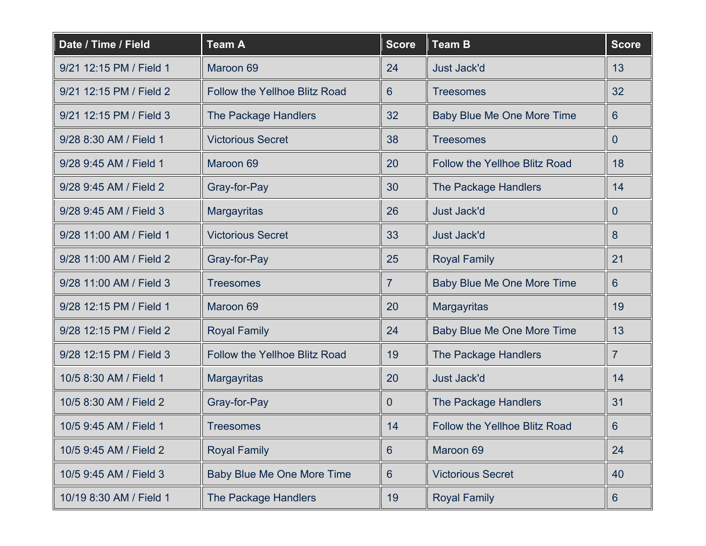| Date / Time / Field     | <b>Team A</b>                        | <b>Score</b>   | <b>Team B</b>                        | <b>Score</b>   |
|-------------------------|--------------------------------------|----------------|--------------------------------------|----------------|
| 9/21 12:15 PM / Field 1 | Maroon 69                            | 24             | <b>Just Jack'd</b>                   | 13             |
| 9/21 12:15 PM / Field 2 | <b>Follow the Yellhoe Blitz Road</b> | $6^{\circ}$    | <b>Treesomes</b>                     | 32             |
| 9/21 12:15 PM / Field 3 | <b>The Package Handlers</b>          | 32             | <b>Baby Blue Me One More Time</b>    | 6              |
| 9/28 8:30 AM / Field 1  | <b>Victorious Secret</b>             | 38             | <b>Treesomes</b>                     | $\mathbf{0}$   |
| 9/28 9:45 AM / Field 1  | Maroon 69                            | 20             | <b>Follow the Yellhoe Blitz Road</b> | 18             |
| 9/28 9:45 AM / Field 2  | Gray-for-Pay                         | 30             | The Package Handlers                 | 14             |
| 9/28 9:45 AM / Field 3  | <b>Margayritas</b>                   | 26             | <b>Just Jack'd</b>                   | $\mathbf{0}$   |
| 9/28 11:00 AM / Field 1 | <b>Victorious Secret</b>             | 33             | <b>Just Jack'd</b>                   | 8              |
| 9/28 11:00 AM / Field 2 | Gray-for-Pay                         | 25             | <b>Royal Family</b>                  | 21             |
| 9/28 11:00 AM / Field 3 | <b>Treesomes</b>                     | $\overline{7}$ | Baby Blue Me One More Time           | 6              |
| 9/28 12:15 PM / Field 1 | Maroon 69                            | 20             | Margayritas                          | 19             |
| 9/28 12:15 PM / Field 2 | <b>Royal Family</b>                  | 24             | Baby Blue Me One More Time           | 13             |
| 9/28 12:15 PM / Field 3 | <b>Follow the Yellhoe Blitz Road</b> | 19             | The Package Handlers                 | $\overline{7}$ |
| 10/5 8:30 AM / Field 1  | <b>Margayritas</b>                   | 20             | <b>Just Jack'd</b>                   | 14             |
| 10/5 8:30 AM / Field 2  | Gray-for-Pay                         | 0              | The Package Handlers                 | 31             |
| 10/5 9:45 AM / Field 1  | <b>Treesomes</b>                     | 14             | Follow the Yellhoe Blitz Road        | 6              |
| 10/5 9:45 AM / Field 2  | <b>Royal Family</b>                  | 6              | Maroon 69                            | 24             |
| 10/5 9:45 AM / Field 3  | <b>Baby Blue Me One More Time</b>    | 6              | <b>Victorious Secret</b>             | 40             |
| 10/19 8:30 AM / Field 1 | <b>The Package Handlers</b>          | 19             | <b>Royal Family</b>                  | 6              |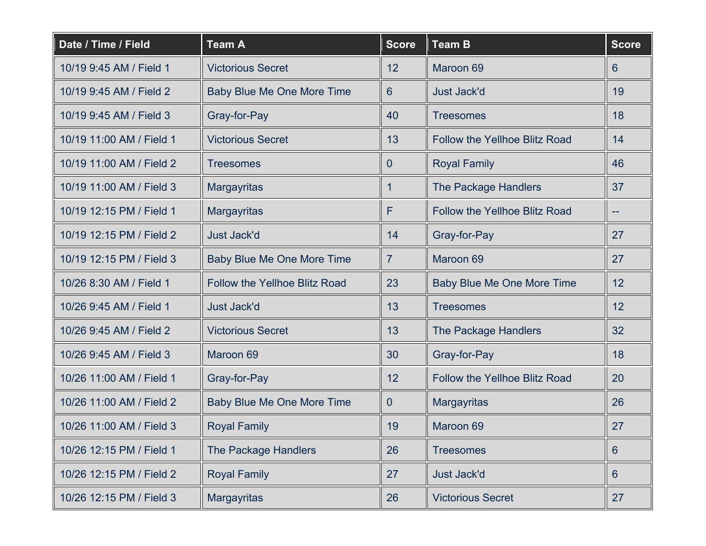| Date / Time / Field      | <b>Team A</b>                        | <b>Score</b>   | <b>Team B</b>                        | <b>Score</b> |
|--------------------------|--------------------------------------|----------------|--------------------------------------|--------------|
| 10/19 9:45 AM / Field 1  | <b>Victorious Secret</b>             | 12             | Maroon 69                            | 6            |
| 10/19 9:45 AM / Field 2  | Baby Blue Me One More Time           | $6^{\circ}$    | <b>Just Jack'd</b>                   | 19           |
| 10/19 9:45 AM / Field 3  | Gray-for-Pay                         | 40             | <b>Treesomes</b>                     | 18           |
| 10/19 11:00 AM / Field 1 | <b>Victorious Secret</b>             | 13             | <b>Follow the Yellhoe Blitz Road</b> | 14           |
| 10/19 11:00 AM / Field 2 | <b>Treesomes</b>                     | $\overline{0}$ | <b>Royal Family</b>                  | 46           |
| 10/19 11:00 AM / Field 3 | <b>Margayritas</b>                   |                | The Package Handlers                 | 37           |
| 10/19 12:15 PM / Field 1 | <b>Margayritas</b>                   | F              | <b>Follow the Yellhoe Blitz Road</b> | --           |
| 10/19 12:15 PM / Field 2 | <b>Just Jack'd</b>                   | 14             | Gray-for-Pay                         | 27           |
| 10/19 12:15 PM / Field 3 | <b>Baby Blue Me One More Time</b>    | $\overline{7}$ | Maroon 69                            | 27           |
| 10/26 8:30 AM / Field 1  | <b>Follow the Yellhoe Blitz Road</b> | 23             | <b>Baby Blue Me One More Time</b>    | 12           |
| 10/26 9:45 AM / Field 1  | <b>Just Jack'd</b>                   | 13             | <b>Treesomes</b>                     | 12           |
| 10/26 9:45 AM / Field 2  | <b>Victorious Secret</b>             | 13             | The Package Handlers                 | 32           |
| 10/26 9:45 AM / Field 3  | Maroon 69                            | 30             | Gray-for-Pay                         | 18           |
| 10/26 11:00 AM / Field 1 | Gray-for-Pay                         | 12             | <b>Follow the Yellhoe Blitz Road</b> | 20           |
| 10/26 11:00 AM / Field 2 | Baby Blue Me One More Time           | $\overline{0}$ | <b>Margayritas</b>                   | 26           |
| 10/26 11:00 AM / Field 3 | <b>Royal Family</b>                  | 19             | Maroon 69                            | 27           |
| 10/26 12:15 PM / Field 1 | The Package Handlers                 | 26             | <b>Treesomes</b>                     | 6            |
| 10/26 12:15 PM / Field 2 | <b>Royal Family</b>                  | 27             | <b>Just Jack'd</b>                   | 6            |
| 10/26 12:15 PM / Field 3 | <b>Margayritas</b>                   | 26             | <b>Victorious Secret</b>             | 27           |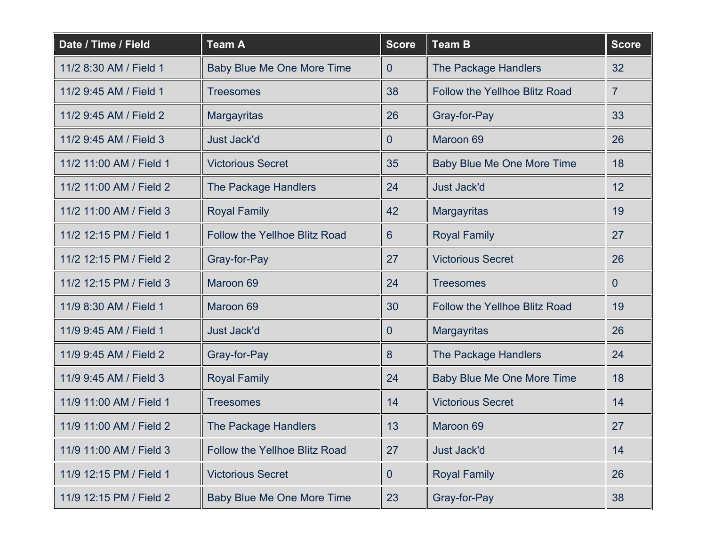| Date / Time / Field     | <b>Team A</b>                        | <b>Score</b>     | <b>Team B</b>                        | <b>Score</b> |
|-------------------------|--------------------------------------|------------------|--------------------------------------|--------------|
| 11/2 8:30 AM / Field 1  | Baby Blue Me One More Time           | $\overline{0}$   | The Package Handlers                 | 32           |
| 11/2 9:45 AM / Field 1  | <b>Treesomes</b>                     | 38               | <b>Follow the Yellhoe Blitz Road</b> | $\mathbf{7}$ |
| 11/2 9:45 AM / Field 2  | <b>Margayritas</b>                   | 26               | Gray-for-Pay                         | 33           |
| 11/2 9:45 AM / Field 3  | <b>Just Jack'd</b>                   | $\overline{0}$   | Maroon 69                            | 26           |
| 11/2 11:00 AM / Field 1 | <b>Victorious Secret</b>             | 35               | Baby Blue Me One More Time           | 18           |
| 11/2 11:00 AM / Field 2 | The Package Handlers                 | 24               | <b>Just Jack'd</b>                   | 12           |
| 11/2 11:00 AM / Field 3 | <b>Royal Family</b>                  | 42               | Margayritas                          | 19           |
| 11/2 12:15 PM / Field 1 | <b>Follow the Yellhoe Blitz Road</b> | $6 \overline{6}$ | <b>Royal Family</b>                  | 27           |
| 11/2 12:15 PM / Field 2 | Gray-for-Pay                         | 27               | <b>Victorious Secret</b>             | 26           |
| 11/2 12:15 PM / Field 3 | Maroon 69                            | 24               | <b>Treesomes</b>                     | $\mathbf{0}$ |
| 11/9 8:30 AM / Field 1  | Maroon 69                            | 30               | <b>Follow the Yellhoe Blitz Road</b> | 19           |
| 11/9 9:45 AM / Field 1  | <b>Just Jack'd</b>                   | 0                | Margayritas                          | 26           |
| 11/9 9:45 AM / Field 2  | Gray-for-Pay                         | 8                | The Package Handlers                 | 24           |
| 11/9 9:45 AM / Field 3  | <b>Royal Family</b>                  | 24               | <b>Baby Blue Me One More Time</b>    | 18           |
| 11/9 11:00 AM / Field 1 | <b>Treesomes</b>                     | 14               | <b>Victorious Secret</b>             | 14           |
| 11/9 11:00 AM / Field 2 | The Package Handlers                 | 13               | Maroon 69                            | 27           |
| 11/9 11:00 AM / Field 3 | <b>Follow the Yellhoe Blitz Road</b> | 27               | Just Jack'd                          | 14           |
| 11/9 12:15 PM / Field 1 | <b>Victorious Secret</b>             | 0                | <b>Royal Family</b>                  | 26           |
| 11/9 12:15 PM / Field 2 | Baby Blue Me One More Time           | 23               | Gray-for-Pay                         | 38           |